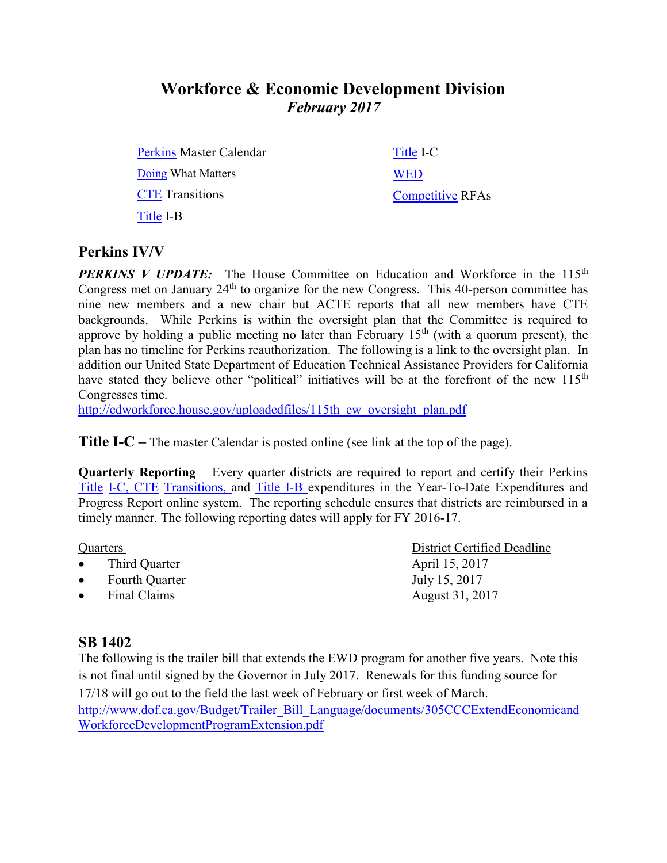# **Workforce & Economic Development Division** *February 2017*

[Perkins](http://extranet.cccco.edu/Portals/1/WED/Perkins/Perkins-MasterCalendar-2016-17.pdf) Master Calendar [Doing](http://doingwhatmatters.cccco.edu/) What Matters [CTE](http://extranet.cccco.edu/Divisions/WorkforceandEconDev/CareerEducationPractices/PerkinsIV/CTETransitions.aspx) Transitions [Title](http://extranet.cccco.edu/Divisions/WorkforceandEconDev/CareerEducationPractices/PerkinsIV/PerkinsIVTitleIPartB.aspx) I-B

[Title](http://extranet.cccco.edu/Divisions/WorkforceandEconDev/CareerEducationPractices/PerkinsIV/PerkinsIVTitleIPartC.aspx) I-C **[WED](http://extranet.cccco.edu/Divisions/WorkforceandEconDev.aspx)** [Competitive](http://extranet.cccco.edu/Divisions/WorkforceandEconDev/WEDDRFAs.aspx) RFAs

### **Perkins IV/V**

**PERKINS V UPDATE:** The House Committee on Education and Workforce in the 115<sup>th</sup> Congress met on January 24<sup>th</sup> to organize for the new Congress. This 40-person committee has nine new members and a new chair but ACTE reports that all new members have CTE backgrounds. While Perkins is within the oversight plan that the Committee is required to approve by holding a public meeting no later than February  $15<sup>th</sup>$  (with a quorum present), the plan has no timeline for Perkins reauthorization. The following is a link to the oversight plan. In addition our United State Department of Education Technical Assistance Providers for California have stated they believe other "political" initiatives will be at the forefront of the new 115<sup>th</sup> Congresses time.

[http://edworkforce.house.gov/uploadedfiles/115th\\_ew\\_oversight\\_plan.pdf](http://edworkforce.house.gov/uploadedfiles/115th_ew_oversight_plan.pdf)

**Title I-C** – The master Calendar is posted online (see link at the top of the page).

**Quarterly Reporting** – Every quarter districts are required to report and certify their Perkins [Title](https://misweb02.cccco.edu/vtea/dba/logon.cfm) I-C, [CTE](https://misweb02.cccco.edu/ctetransitions/prod/logon.cfm) Transitions, and [Title](https://misweb02.cccco.edu/vteaib/prod/logon.cfm) I-B expenditures in the Year-To-Date Expenditures and Progress Report online system. The reporting schedule ensures that districts are reimbursed in a timely manner. The following reporting dates will apply for FY 2016-17.

- Third Quarter April 15, 2017
- Fourth Quarter July 15, 2017
- Final Claims August 31, 2017

## **SB 1402**

The following is the trailer bill that extends the EWD program for another five years. Note this is not final until signed by the Governor in July 2017. Renewals for this funding source for 17/18 will go out to the field the last week of February or first week of March.

[http://www.dof.ca.gov/Budget/Trailer\\_Bill\\_Language/documents/305CCCExtendEconomicand](http://www.dof.ca.gov/Budget/Trailer_Bill_Language/documents/305CCCExtendEconomicandWorkforceDevelopmentProgramExtension.pdf) [WorkforceDevelopmentProgramExtension.pdf](http://www.dof.ca.gov/Budget/Trailer_Bill_Language/documents/305CCCExtendEconomicandWorkforceDevelopmentProgramExtension.pdf)

Quarters District Certified Deadline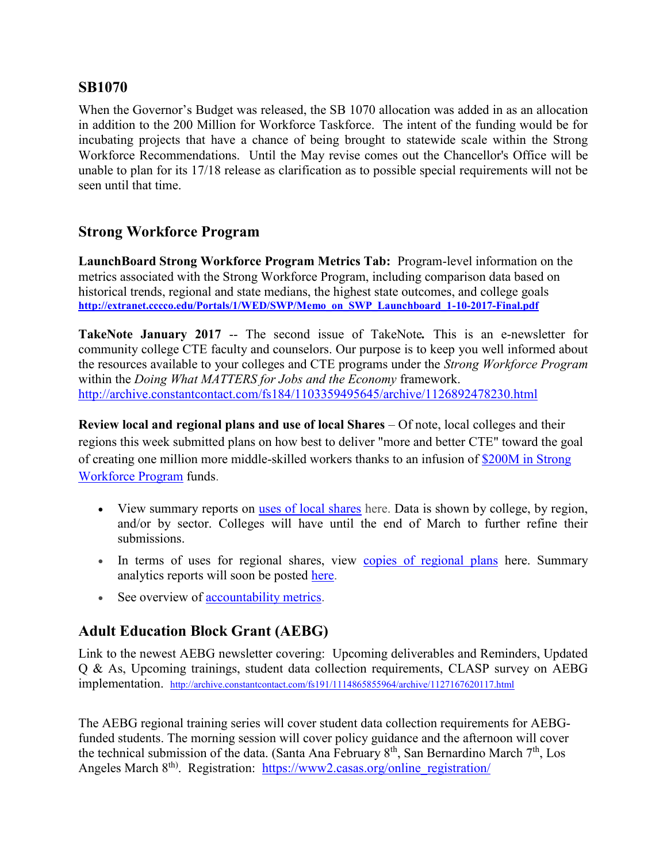#### **SB1070**

When the Governor's Budget was released, the SB 1070 allocation was added in as an allocation in addition to the 200 Million for Workforce Taskforce. The intent of the funding would be for incubating projects that have a chance of being brought to statewide scale within the Strong Workforce Recommendations. Until the May revise comes out the Chancellor's Office will be unable to plan for its 17/18 release as clarification as to possible special requirements will not be seen until that time.

## **Strong Workforce Program**

**LaunchBoard Strong Workforce Program Metrics Tab:** Program-level information on the metrics associated with the Strong Workforce Program, including comparison data based on historical trends, regional and state medians, the highest state outcomes, and college goals **[http://extranet.cccco.edu/Portals/1/WED/SWP/Memo\\_on\\_SWP\\_Launchboard\\_1-10-2017-Final.pdf](http://extranet.cccco.edu/Portals/1/WED/SWP/Memo_on_SWP_Launchboard_1-10-2017-Final.pdf)**

**TakeNote January 2017** -- The second issue of TakeNote*.* This is an e-newsletter for community college CTE faculty and counselors. Our purpose is to keep you well informed about the resources available to your colleges and CTE programs under the *[Strong Workforce Program](http://doingwhatmatters.cccco.edu/StrongWorkforce.aspx)* within the *[Doing What MATTERS for Jobs and the Economy](http://doingwhatmatters.cccco.edu/)* framework. <http://archive.constantcontact.com/fs184/1103359495645/archive/1126892478230.html>

**Review local and regional plans and use of local Shares** – Of note, local colleges and their regions this week submitted plans on how best to deliver "more and better CTE" toward the goal of creating one million more middle-skilled workers thanks to an infusion of [\\$200M in Strong](http://r20.rs6.net/tn.jsp?f=001GLxh5i3MSkhjWgmXodkHhxiULCP-0T9K6ymfr5NoDVlxbgH0VLjmUffKbiTgDl2QE5ZWLRabPwC09JBUIlzqu4yRGpIGeXbSbcO0qBvdOOeku-w7E3bXvpOKWIcp2DJ2kS3L-kuTPWo4lLqZsLobNxxFgxwaFJQ4SQ-R-E-FxVh8CMBBOm5hquaQKk3kmwrp_KeUR-_X2ravgy51eCwEFA==&c=J-OUDebi4o3K_0LqZQ6Xj_zbNFi0CdEME0Htzjt4BQDZFZH--KABQw==&ch=dABvUA98wiMbNsfLPZJPKMIF5Q2lA0XYFJlhp5WVvfezozNmDPlRJQ==)  [Workforce Program](http://r20.rs6.net/tn.jsp?f=001GLxh5i3MSkhjWgmXodkHhxiULCP-0T9K6ymfr5NoDVlxbgH0VLjmUffKbiTgDl2QE5ZWLRabPwC09JBUIlzqu4yRGpIGeXbSbcO0qBvdOOeku-w7E3bXvpOKWIcp2DJ2kS3L-kuTPWo4lLqZsLobNxxFgxwaFJQ4SQ-R-E-FxVh8CMBBOm5hquaQKk3kmwrp_KeUR-_X2ravgy51eCwEFA==&c=J-OUDebi4o3K_0LqZQ6Xj_zbNFi0CdEME0Htzjt4BQDZFZH--KABQw==&ch=dABvUA98wiMbNsfLPZJPKMIF5Q2lA0XYFJlhp5WVvfezozNmDPlRJQ==) funds.

- View summary reports on [uses of local shares](http://r20.rs6.net/tn.jsp?f=001GLxh5i3MSkhjWgmXodkHhxiULCP-0T9K6ymfr5NoDVlxbgH0VLjmUUWnlIWjHrjBX7n0y5KdOoLCtcT4e3vXpV9a2D-5wiPeainu_gwdRC_fTbEQ9eZ10s6Qfi87IWttzXj0XZsqZY5cznGzRjf_NpY9f1d4hjFCm1fs4Ed4lIEy5nmbbjr68MeyZSVqAjSm-sWxp632Mo_FJB5DAmj3Q37vChpAtiJvH2-zmvhIgzmpvOay3iJ4cA==&c=J-OUDebi4o3K_0LqZQ6Xj_zbNFi0CdEME0Htzjt4BQDZFZH--KABQw==&ch=dABvUA98wiMbNsfLPZJPKMIF5Q2lA0XYFJlhp5WVvfezozNmDPlRJQ==) here. Data is shown by college, by region, and/or by sector. Colleges will have until the end of March to further refine their submissions.
- In terms of uses for regional shares, view [copies of regional plans](http://r20.rs6.net/tn.jsp?f=001GLxh5i3MSkhjWgmXodkHhxiULCP-0T9K6ymfr5NoDVlxbgH0VLjmUUWnlIWjHrjBmFVUtuQbqUdf8ah0MiGWrgjFD1WQsfJLvti1bYueWjB4bhETFjVqhvn6dsY5sRK1puIWdCX99DvuiX6QIsO_JlRH5GJDMg8IoajQU_KzzY5TaInP2VNUei3UCzfb-5oXYMFiYuwfC8H0be7t5ApfFv7Bt628DTYcU5J_1r1Ipxw=&c=J-OUDebi4o3K_0LqZQ6Xj_zbNFi0CdEME0Htzjt4BQDZFZH--KABQw==&ch=dABvUA98wiMbNsfLPZJPKMIF5Q2lA0XYFJlhp5WVvfezozNmDPlRJQ==) here. Summary analytics reports will soon be posted [here.](http://r20.rs6.net/tn.jsp?f=001GLxh5i3MSkhjWgmXodkHhxiULCP-0T9K6ymfr5NoDVlxbgH0VLjmUffKbiTgDl2QE5ZWLRabPwC09JBUIlzqu4yRGpIGeXbSbcO0qBvdOOeku-w7E3bXvpOKWIcp2DJ2kS3L-kuTPWo4lLqZsLobNxxFgxwaFJQ4SQ-R-E-FxVh8CMBBOm5hquaQKk3kmwrp_KeUR-_X2ravgy51eCwEFA==&c=J-OUDebi4o3K_0LqZQ6Xj_zbNFi0CdEME0Htzjt4BQDZFZH--KABQw==&ch=dABvUA98wiMbNsfLPZJPKMIF5Q2lA0XYFJlhp5WVvfezozNmDPlRJQ==)
- See overview of [accountability metrics.](http://r20.rs6.net/tn.jsp?f=001GLxh5i3MSkhjWgmXodkHhxiULCP-0T9K6ymfr5NoDVlxbgH0VLjmUUWnlIWjHrjBRXLj0S1RqbchxprQ36y3oACgNflceahCgtEkmoFcFL_PfkMDyjZhMk8ry3d9Xb1KdM92sfwF0fODFyVZG2cbLujW4uG3I0ebg85r4NbLAAoSU-PQQwNgxxji9QGxgz2bLHb08DlbGNvnkb3A2ZITB3vECO-R3Q12q0PsbOODS2ct5n1az54W0umKqKKTHCjXxafTKpqzecU=&c=J-OUDebi4o3K_0LqZQ6Xj_zbNFi0CdEME0Htzjt4BQDZFZH--KABQw==&ch=dABvUA98wiMbNsfLPZJPKMIF5Q2lA0XYFJlhp5WVvfezozNmDPlRJQ==)

## **Adult Education Block Grant (AEBG)**

Link to the newest AEBG newsletter covering: Upcoming deliverables and Reminders, Updated Q & As, Upcoming trainings, student data collection requirements, CLASP survey on AEBG implementation. <http://archive.constantcontact.com/fs191/1114865855964/archive/1127167620117.html>

The AEBG regional training series will cover student data collection requirements for AEBGfunded students. The morning session will cover policy guidance and the afternoon will cover the technical submission of the data. (Santa Ana February 8<sup>th</sup>, San Bernardino March 7<sup>th</sup>, Los Angeles March 8<sup>th</sup>). Registration: [https://www2.casas.org/online\\_registration/](https://www2.casas.org/online_registration/)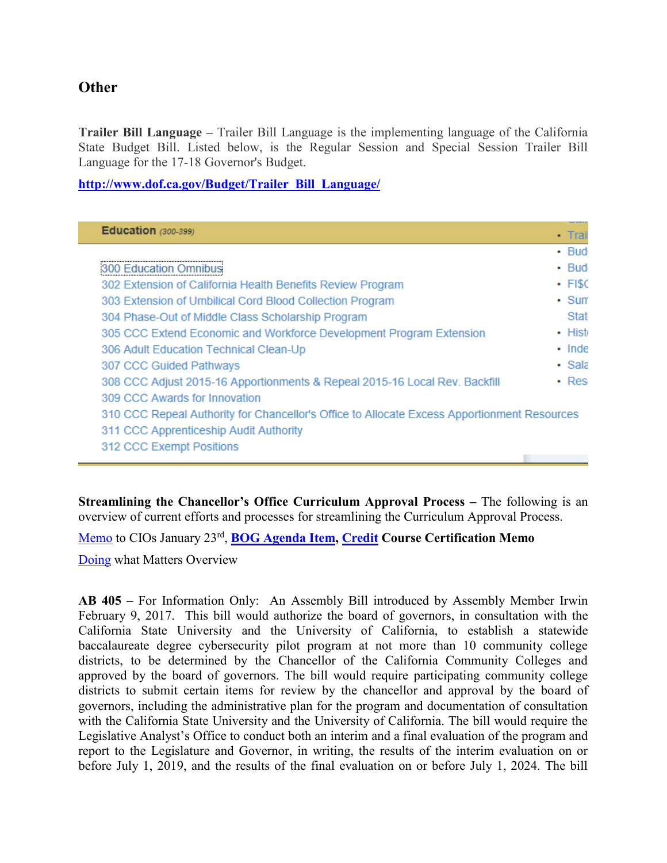#### **Other**

 $\overline{\phantom{0}}$ 

**Trailer Bill Language –** Trailer Bill Language is the implementing language of the California State Budget Bill. Listed below, is the Regular Session and Special Session Trailer Bill Language for the 17-18 Governor's Budget.

**[http://www.dof.ca.gov/Budget/Trailer\\_Bill\\_Language/](http://www.dof.ca.gov/Budget/Trailer_Bill_Language/)**

| <b>Education</b> (300-399)                                                                  | • Trai       |
|---------------------------------------------------------------------------------------------|--------------|
|                                                                                             | $\cdot$ Bud  |
| 300 Education Omnibus                                                                       | $\cdot$ Bud  |
| 302 Extension of California Health Benefits Review Program                                  | $\cdot$ FISC |
| 303 Extension of Umbilical Cord Blood Collection Program                                    | $\cdot$ Sum  |
| 304 Phase-Out of Middle Class Scholarship Program                                           | Stat         |
| 305 CCC Extend Economic and Workforce Development Program Extension                         | • Hist       |
| 306 Adult Education Technical Clean-Up                                                      | $\cdot$ Inde |
| 307 CCC Guided Pathways                                                                     | • Sala       |
| 308 CCC Adjust 2015-16 Apportionments & Repeal 2015-16 Local Rev. Backfill                  | • Res        |
| 309 CCC Awards for Innovation                                                               |              |
| 310 CCC Repeal Authority for Chancellor's Office to Allocate Excess Apportionment Resources |              |
| 311 CCC Apprenticeship Audit Authority                                                      |              |
| 312 CCC Exempt Positions                                                                    |              |
|                                                                                             |              |

**Streamlining the Chancellor's Office Curriculum Approval Process –** The following is an overview of current efforts and processes for streamlining the Curriculum Approval Process.

[Memo](http://doingwhatmatters.cccco.edu/portals/6/docs/sw/AA17-01_StreamliningTheCurriculumProcesses.pdf) to CIOs January 23rd , **[BOG Agenda Item,](file:///C:/Users/Yasmeen/Downloads/BOG%20Agenda%20Item) [Credit](http://extranet.cccco.edu/Portals/1/AA/Credit/2016/AA16-27_CreditCourseCertificationRvsd) Course Certification Memo**

[Doing](http://archive.constantcontact.com/fs184/1103359495645/archive/1126892478230.html#leadart) what Matters Overview

**AB 405** – For Information Only: An Assembly Bill introduced by Assembly Member Irwin February 9, 2017. This bill would authorize the board of governors, in consultation with the California State University and the University of California, to establish a statewide baccalaureate degree cybersecurity pilot program at not more than 10 community college districts, to be determined by the Chancellor of the California Community Colleges and approved by the board of governors. The bill would require participating community college districts to submit certain items for review by the chancellor and approval by the board of governors, including the administrative plan for the program and documentation of consultation with the California State University and the University of California. The bill would require the Legislative Analyst's Office to conduct both an interim and a final evaluation of the program and report to the Legislature and Governor, in writing, the results of the interim evaluation on or before July 1, 2019, and the results of the final evaluation on or before July 1, 2024. The bill